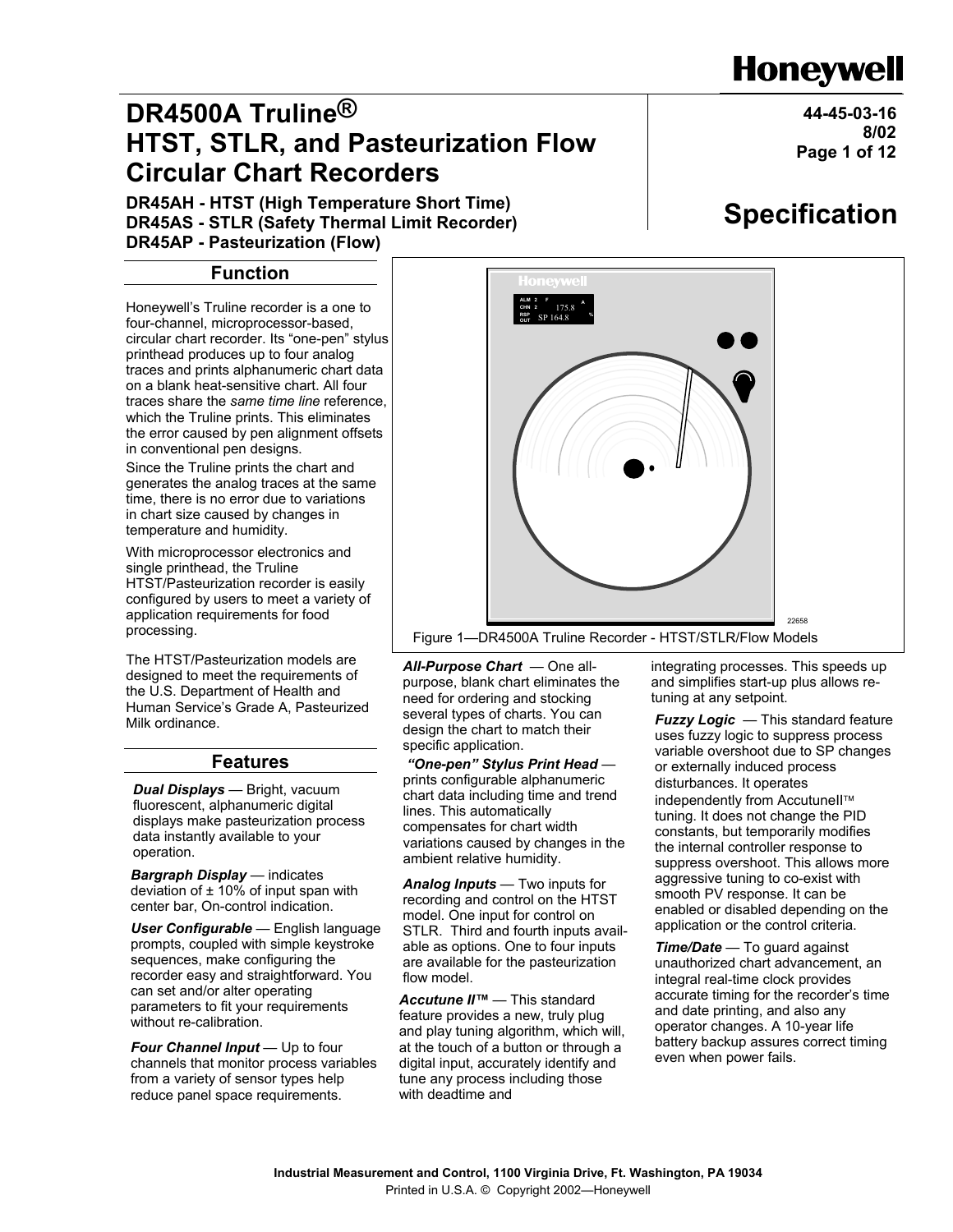# **Industrial Measurement and Control, 1100 Virginia Drive, Ft. Washington, PA 19034**  Printed in U.S.A. © Copyright 2002—Honeywell

*All-Purpose Chart* — One all-

need for ordering and stocking several types of charts. You can design the chart to match their

 *"One-pen" Stylus Print Head* prints configurable alphanumeric chart data including time and trend

specific application.

lines. This automatically compensates for chart width variations caused by changes in the

ambient relative humidity.

flow model.

with deadtime and

*Analog Inputs* — Two inputs for recording and control on the HTST model. One input for control on STLR. Third and fourth inputs available as options. One to four inputs are available for the pasteurization

*Accutune II™* — This standard feature provides a new, truly plug and play tuning algorithm, which will, at the touch of a button or through a digital input, accurately identify and tune any process including those

# **Honeywell**

**44-45-03-16**

**Page 1 of 12**

**8/02**

# **DR4500A Truline® HTST, STLR, and Pasteurization Flow Circular Chart Recorders**

**DR45AH - HTST (High Temperature Short Time) DR45AS - STLR (Safety Thermal Limit Recorder) DR45AP - Pasteurization (Flow)**

## **Function**

Honeywell's Truline recorder is a one to four-channel, microprocessor-based, circular chart recorder. Its "one-pen" stylus printhead produces up to four analog traces and prints alphanumeric chart data on a blank heat-sensitive chart. All four traces share the *same time line* reference, which the Truline prints. This eliminates the error caused by pen alignment offsets in conventional pen designs.

Since the Truline prints the chart and generates the analog traces at the same time, there is no error due to variations in chart size caused by changes in temperature and humidity.

With microprocessor electronics and single printhead, the Truline HTST/Pasteurization recorder is easily configured by users to meet a variety of application requirements for food

The HTST/Pasteurization models are designed to meet the requirements of the U.S. Department of Health and Human Service's Grade A, Pasteurized Milk ordinance.

## **Features**

*Dual Displays* — Bright, vacuum fluorescent, alphanumeric digital displays make pasteurization process data instantly available to your operation.

*Bargraph Display* — indicates deviation of  $\pm$  10% of input span with center bar, On-control indication.

*User Configurable* — English language prompts, coupled with simple keystroke sequences, make configuring the recorder easy and straightforward. You can set and/or alter operating parameters to fit your requirements without re-calibration.

*Four Channel Input* — Up to four channels that monitor process variables from a variety of sensor types help reduce panel space requirements.



*Fuzzy Logic — This standard feature* uses fuzzy logic to suppress process variable overshoot due to SP changes or externally induced process disturbances. It operates independently from AccutuneII™ tuning. It does not change the PID constants, but temporarily modifies the internal controller response to suppress overshoot. This allows more aggressive tuning to co-exist with smooth PV response. It can be enabled or disabled depending on the application or the control criteria.

*Time/Date* — To guard against unauthorized chart advancement, an integral real-time clock provides accurate timing for the recorder's time and date printing, and also any operator changes. A 10-year life battery backup assures correct timing even when power fails.

purpose, blank chart eliminates the

processing. <sup>22658</sup> Figure 1—DR4500A Truline Recorder - HTST/STLR/Flow Models **ALM CHN RSP OUT F** SP 164.8 175.8 **% <sup>2</sup> <sup>A</sup>**

# **Specification**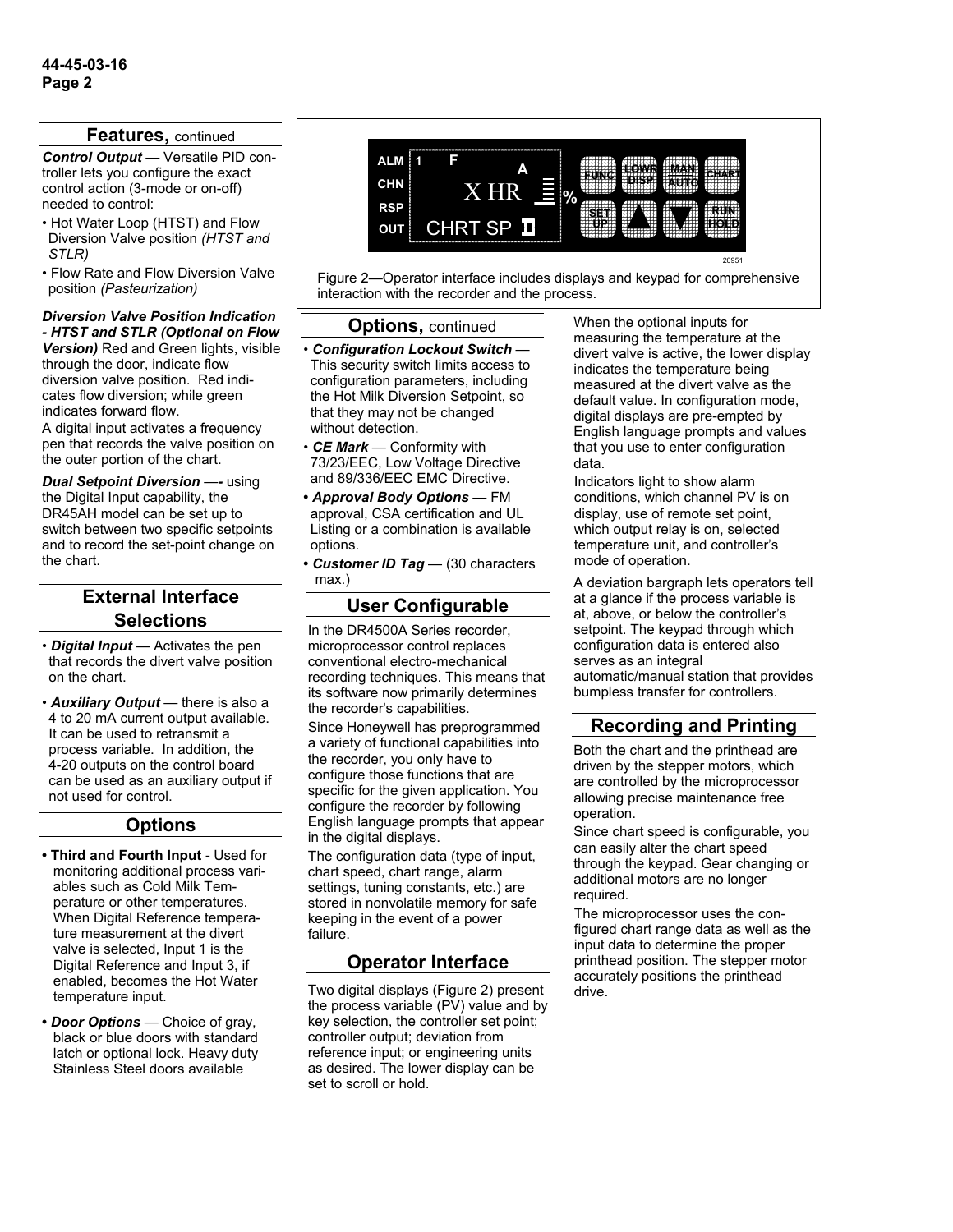#### **Features,** continued

*Control Output* — Versatile PID controller lets you configure the exact control action (3-mode or on-off) needed to control:

- Hot Water Loop (HTST) and Flow Diversion Valve position *(HTST and STLR)*
- Flow Rate and Flow Diversion Valve position *(Pasteurization)*

#### *Diversion Valve Position Indication - HTST and STLR (Optional on Flow*

*Version)* Red and Green lights, visible through the door, indicate flow diversion valve position. Red indicates flow diversion; while green indicates forward flow.

A digital input activates a frequency pen that records the valve position on the outer portion of the chart.

*Dual Setpoint Diversion* — *using* the Digital Input capability, the DR45AH model can be set up to switch between two specific setpoints and to record the set-point change on the chart.

## **External Interface Selections**

- *Digital Input* Activates the pen that records the divert valve position on the chart.
- *Auxiliary Output* there is also a 4 to 20 mA current output available. It can be used to retransmit a process variable. In addition, the 4-20 outputs on the control board can be used as an auxiliary output if not used for control.

### **Options**

- **Third and Fourth Input**  Used for monitoring additional process variables such as Cold Milk Temperature or other temperatures. When Digital Reference temperature measurement at the divert valve is selected, Input 1 is the Digital Reference and Input 3, if enabled, becomes the Hot Water temperature input.
- *Door Options* Choice of gray, black or blue doors with standard latch or optional lock. Heavy duty Stainless Steel doors available



Figure 2—Operator interface includes displays and keypad for comprehensive interaction with the recorder and the process.

#### **Options,** continued

- *Configuration Lockout Switch* This security switch limits access to configuration parameters, including the Hot Milk Diversion Setpoint, so that they may not be changed without detection.
- *CE Mark* Conformity with 73/23/EEC, Low Voltage Directive and 89/336/EEC EMC Directive.
- *Approval Body Options*  FM approval, CSA certification and UL Listing or a combination is available options.
- *Customer ID Tag* (30 characters max.)

## **User Configurable**

In the DR4500A Series recorder, microprocessor control replaces conventional electro-mechanical recording techniques. This means that its software now primarily determines the recorder's capabilities.

Since Honeywell has preprogrammed a variety of functional capabilities into the recorder, you only have to configure those functions that are specific for the given application. You configure the recorder by following English language prompts that appear in the digital displays.

The configuration data (type of input, chart speed, chart range, alarm settings, tuning constants, etc.) are stored in nonvolatile memory for safe keeping in the event of a power failure.

## **Operator Interface**

Two digital displays (Figure 2) present the process variable (PV) value and by key selection, the controller set point; controller output; deviation from reference input; or engineering units as desired. The lower display can be set to scroll or hold.

When the optional inputs for measuring the temperature at the divert valve is active, the lower display indicates the temperature being measured at the divert valve as the default value. In configuration mode, digital displays are pre-empted by English language prompts and values that you use to enter configuration data.

Indicators light to show alarm conditions, which channel PV is on display, use of remote set point, which output relay is on, selected temperature unit, and controller's mode of operation.

A deviation bargraph lets operators tell at a glance if the process variable is at, above, or below the controller's setpoint. The keypad through which configuration data is entered also serves as an integral automatic/manual station that provides bumpless transfer for controllers.

## **Recording and Printing**

Both the chart and the printhead are driven by the stepper motors, which are controlled by the microprocessor allowing precise maintenance free operation.

Since chart speed is configurable, you can easily alter the chart speed through the keypad. Gear changing or additional motors are no longer required.

The microprocessor uses the configured chart range data as well as the input data to determine the proper printhead position. The stepper motor accurately positions the printhead drive.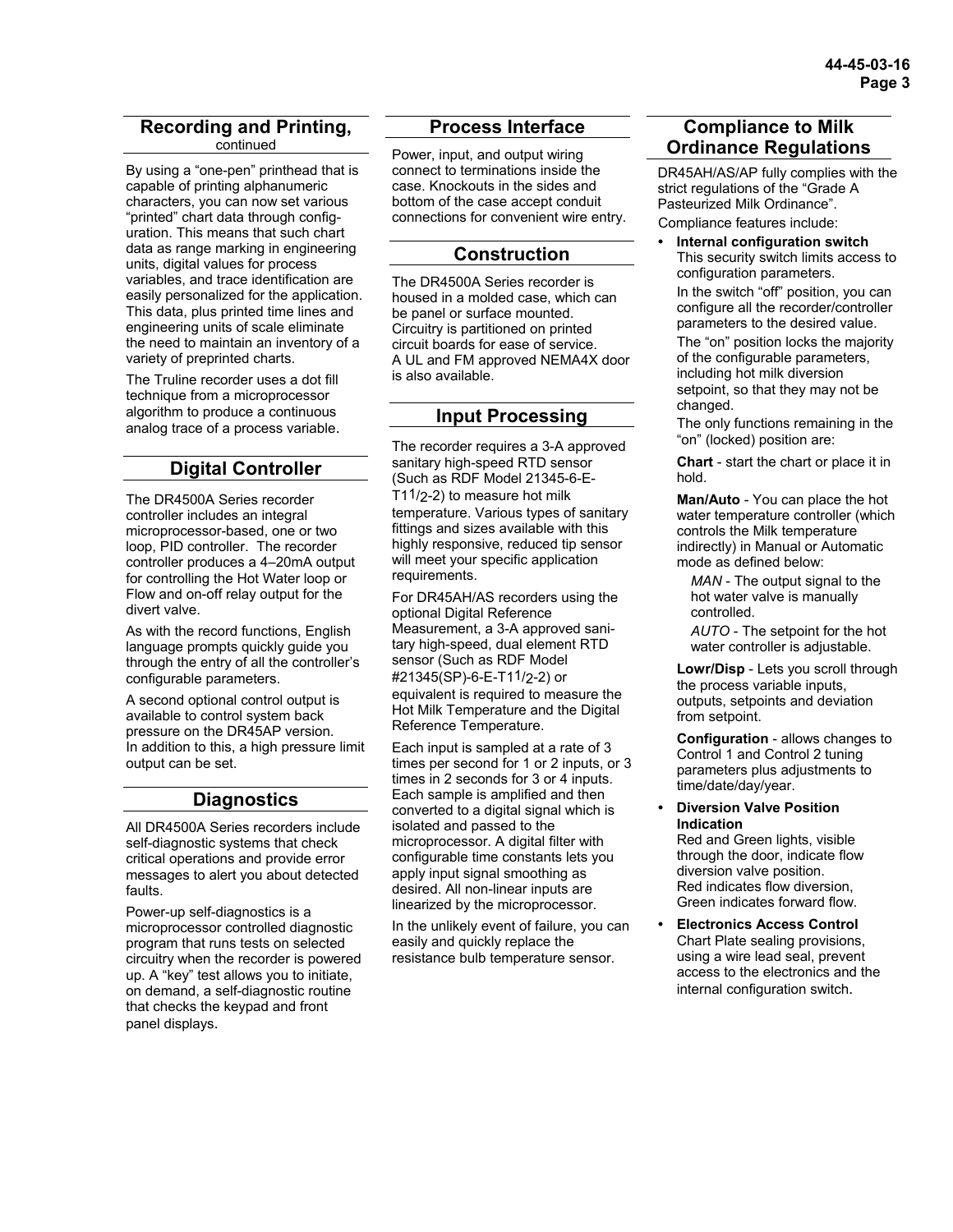#### **Recording and Printing,**  continued

By using a "one-pen" printhead that is capable of printing alphanumeric characters, you can now set various "printed" chart data through configuration. This means that such chart data as range marking in engineering units, digital values for process variables, and trace identification are easily personalized for the application. This data, plus printed time lines and engineering units of scale eliminate the need to maintain an inventory of a variety of preprinted charts.

The Truline recorder uses a dot fill technique from a microprocessor algorithm to produce a continuous analog trace of a process variable.

## **Digital Controller**

The DR4500A Series recorder controller includes an integral microprocessor-based, one or two loop, PID controller. The recorder controller produces a 4–20mA output for controlling the Hot Water loop or Flow and on-off relay output for the divert valve.

As with the record functions, English language prompts quickly guide you through the entry of all the controller's configurable parameters.

A second optional control output is available to control system back pressure on the DR45AP version. In addition to this, a high pressure limit output can be set.

### **Diagnostics**

All DR4500A Series recorders include self-diagnostic systems that check critical operations and provide error messages to alert you about detected faults.

Power-up self-diagnostics is a microprocessor controlled diagnostic program that runs tests on selected circuitry when the recorder is powered up. A "key" test allows you to initiate, on demand, a self-diagnostic routine that checks the keypad and front panel displays.

## **Process Interface**

Power, input, and output wiring connect to terminations inside the case. Knockouts in the sides and bottom of the case accept conduit connections for convenient wire entry.

## **Construction**

The DR4500A Series recorder is housed in a molded case, which can be panel or surface mounted. Circuitry is partitioned on printed circuit boards for ease of service. A UL and FM approved NEMA4X door is also available.

## **Input Processing**

The recorder requires a 3-A approved sanitary high-speed RTD sensor (Such as RDF Model 21345-6-E-T11/2-2) to measure hot milk temperature. Various types of sanitary fittings and sizes available with this highly responsive, reduced tip sensor will meet your specific application requirements.

For DR45AH/AS recorders using the optional Digital Reference Measurement, a 3-A approved sanitary high-speed, dual element RTD sensor (Such as RDF Model #21345(SP)-6-E-T11/2-2) or equivalent is required to measure the Hot Milk Temperature and the Digital Reference Temperature.

Each input is sampled at a rate of 3 times per second for 1 or 2 inputs, or 3 times in 2 seconds for 3 or 4 inputs. Each sample is amplified and then converted to a digital signal which is isolated and passed to the microprocessor. A digital filter with configurable time constants lets you apply input signal smoothing as desired. All non-linear inputs are linearized by the microprocessor.

In the unlikely event of failure, you can easily and quickly replace the resistance bulb temperature sensor.

## **Compliance to Milk Ordinance Regulations**

DR45AH/AS/AP fully complies with the strict regulations of the "Grade A Pasteurized Milk Ordinance". Compliance features include:

**• Internal configuration switch**  This security switch limits access to configuration parameters.

 In the switch "off" position, you can configure all the recorder/controller parameters to the desired value.

 The "on" position locks the majority of the configurable parameters, including hot milk diversion setpoint, so that they may not be changed.

 The only functions remaining in the "on" (locked) position are:

 **Chart** - start the chart or place it in hold.

 **Man/Auto** - You can place the hot water temperature controller (which controls the Milk temperature indirectly) in Manual or Automatic mode as defined below:

 *MAN* - The output signal to the hot water valve is manually controlled.

 *AUTO* - The setpoint for the hot water controller is adjustable.

 **Lowr/Disp** - Lets you scroll through the process variable inputs, outputs, setpoints and deviation from setpoint.

 **Configuration** - allows changes to Control 1 and Control 2 tuning parameters plus adjustments to time/date/day/year.

#### **• Diversion Valve Position Indication**

 Red and Green lights, visible through the door, indicate flow diversion valve position. Red indicates flow diversion, Green indicates forward flow.

**• Electronics Access Control**  Chart Plate sealing provisions, using a wire lead seal, prevent access to the electronics and the internal configuration switch.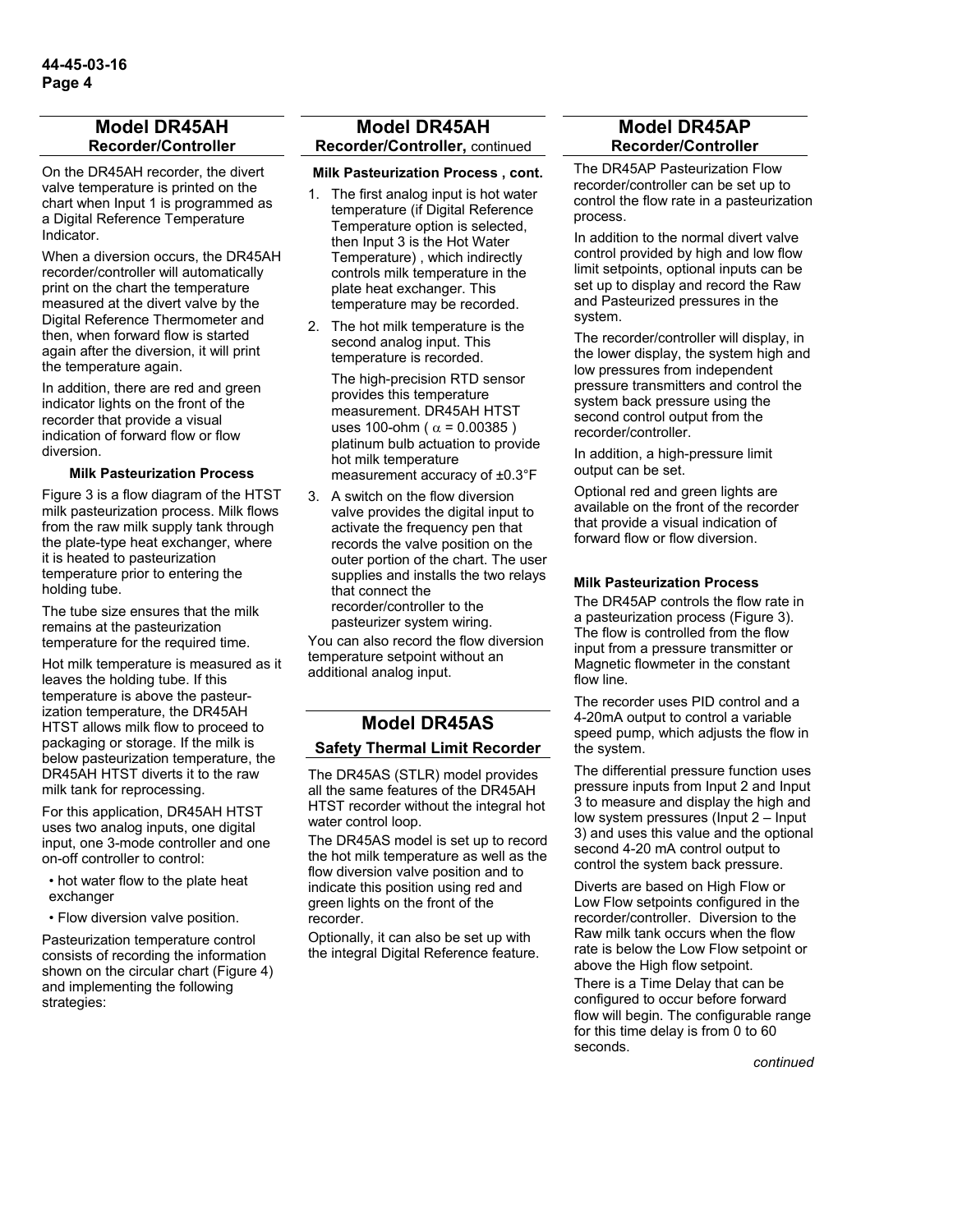### **Model DR45AH Recorder/Controller**

On the DR45AH recorder, the divert valve temperature is printed on the chart when Input 1 is programmed as a Digital Reference Temperature Indicator.

When a diversion occurs, the DR45AH recorder/controller will automatically print on the chart the temperature measured at the divert valve by the Digital Reference Thermometer and then, when forward flow is started again after the diversion, it will print the temperature again.

In addition, there are red and green indicator lights on the front of the recorder that provide a visual indication of forward flow or flow diversion.

#### **Milk Pasteurization Process**

Figure 3 is a flow diagram of the HTST milk pasteurization process. Milk flows from the raw milk supply tank through the plate-type heat exchanger, where it is heated to pasteurization temperature prior to entering the holding tube.

The tube size ensures that the milk remains at the pasteurization temperature for the required time.

Hot milk temperature is measured as it leaves the holding tube. If this temperature is above the pasteurization temperature, the DR45AH HTST allows milk flow to proceed to packaging or storage. If the milk is below pasteurization temperature, the DR45AH HTST diverts it to the raw milk tank for reprocessing.

For this application, DR45AH HTST uses two analog inputs, one digital input, one 3-mode controller and one on-off controller to control:

• hot water flow to the plate heat exchanger

• Flow diversion valve position.

Pasteurization temperature control consists of recording the information shown on the circular chart (Figure 4) and implementing the following strategies:

### **Model DR45AH Recorder/Controller,** continued

#### **Milk Pasteurization Process , cont.**

- 1. The first analog input is hot water temperature (if Digital Reference Temperature option is selected, then Input 3 is the Hot Water Temperature) , which indirectly controls milk temperature in the plate heat exchanger. This temperature may be recorded.
- 2. The hot milk temperature is the second analog input. This temperature is recorded.

 The high-precision RTD sensor provides this temperature measurement. DR45AH HTST uses 100-ohm ( $α = 0.00385$ ) platinum bulb actuation to provide hot milk temperature measurement accuracy of ±0.3°F

3. A switch on the flow diversion valve provides the digital input to activate the frequency pen that records the valve position on the outer portion of the chart. The user supplies and installs the two relays that connect the recorder/controller to the pasteurizer system wiring.

You can also record the flow diversion temperature setpoint without an additional analog input.

## **Model DR45AS Safety Thermal Limit Recorder**

The DR45AS (STLR) model provides all the same features of the DR45AH HTST recorder without the integral hot water control loop.

The DR45AS model is set up to record the hot milk temperature as well as the flow diversion valve position and to indicate this position using red and green lights on the front of the recorder.

Optionally, it can also be set up with the integral Digital Reference feature.

#### **Model DR45AP Recorder/Controller**

The DR45AP Pasteurization Flow recorder/controller can be set up to control the flow rate in a pasteurization process.

In addition to the normal divert valve control provided by high and low flow limit setpoints, optional inputs can be set up to display and record the Raw and Pasteurized pressures in the system.

The recorder/controller will display, in the lower display, the system high and low pressures from independent pressure transmitters and control the system back pressure using the second control output from the recorder/controller.

In addition, a high-pressure limit output can be set.

Optional red and green lights are available on the front of the recorder that provide a visual indication of forward flow or flow diversion.

#### **Milk Pasteurization Process**

The DR45AP controls the flow rate in a pasteurization process (Figure 3). The flow is controlled from the flow input from a pressure transmitter or Magnetic flowmeter in the constant flow line.

The recorder uses PID control and a 4-20mA output to control a variable speed pump, which adjusts the flow in the system.

The differential pressure function uses pressure inputs from Input 2 and Input 3 to measure and display the high and low system pressures (Input 2 – Input 3) and uses this value and the optional second 4-20 mA control output to control the system back pressure.

Diverts are based on High Flow or Low Flow setpoints configured in the recorder/controller. Diversion to the Raw milk tank occurs when the flow rate is below the Low Flow setpoint or above the High flow setpoint.

There is a Time Delay that can be configured to occur before forward flow will begin. The configurable range for this time delay is from 0 to 60 seconds.

*continued*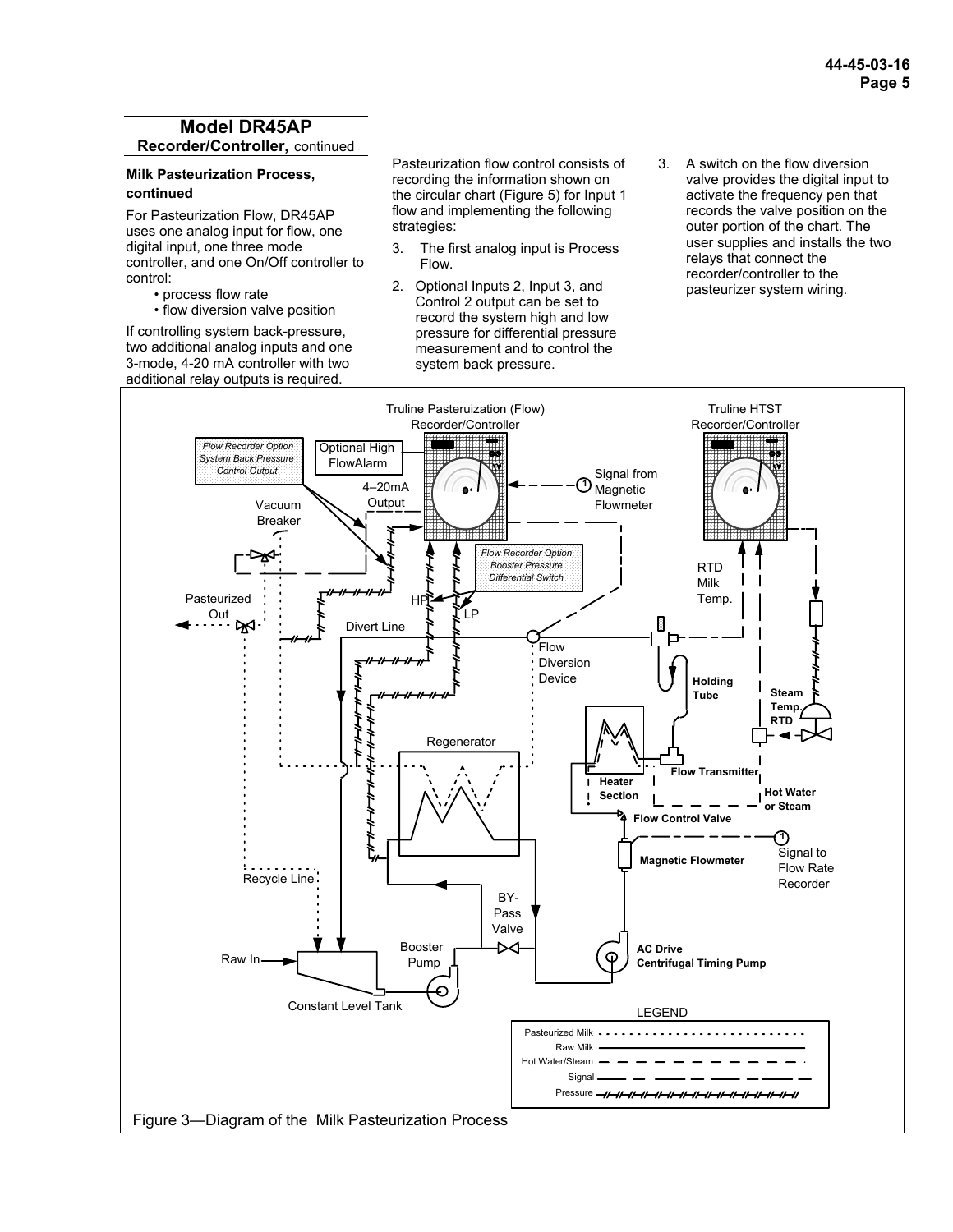## **Model DR45AP Recorder/Controller,** continued

#### **Milk Pasteurization Process, continued**

For Pasteurization Flow, DR45AP uses one analog input for flow, one digital input, one three mode controller, and one On/Off controller to control:

 • process flow rate • flow diversion valve position

If controlling system back-pressure, two additional analog inputs and one 3-mode, 4-20 mA controller with two additional relay outputs is required.

Pasteurization flow control consists of recording the information shown on the circular chart (Figure 5) for Input 1 flow and implementing the following strategies:

- 3. The first analog input is Process Flow.
- 2. Optional Inputs 2, Input 3, and Control 2 output can be set to record the system high and low pressure for differential pressure measurement and to control the system back pressure.
- 3. A switch on the flow diversion valve provides the digital input to activate the frequency pen that records the valve position on the outer portion of the chart. The user supplies and installs the two relays that connect the recorder/controller to the pasteurizer system wiring.

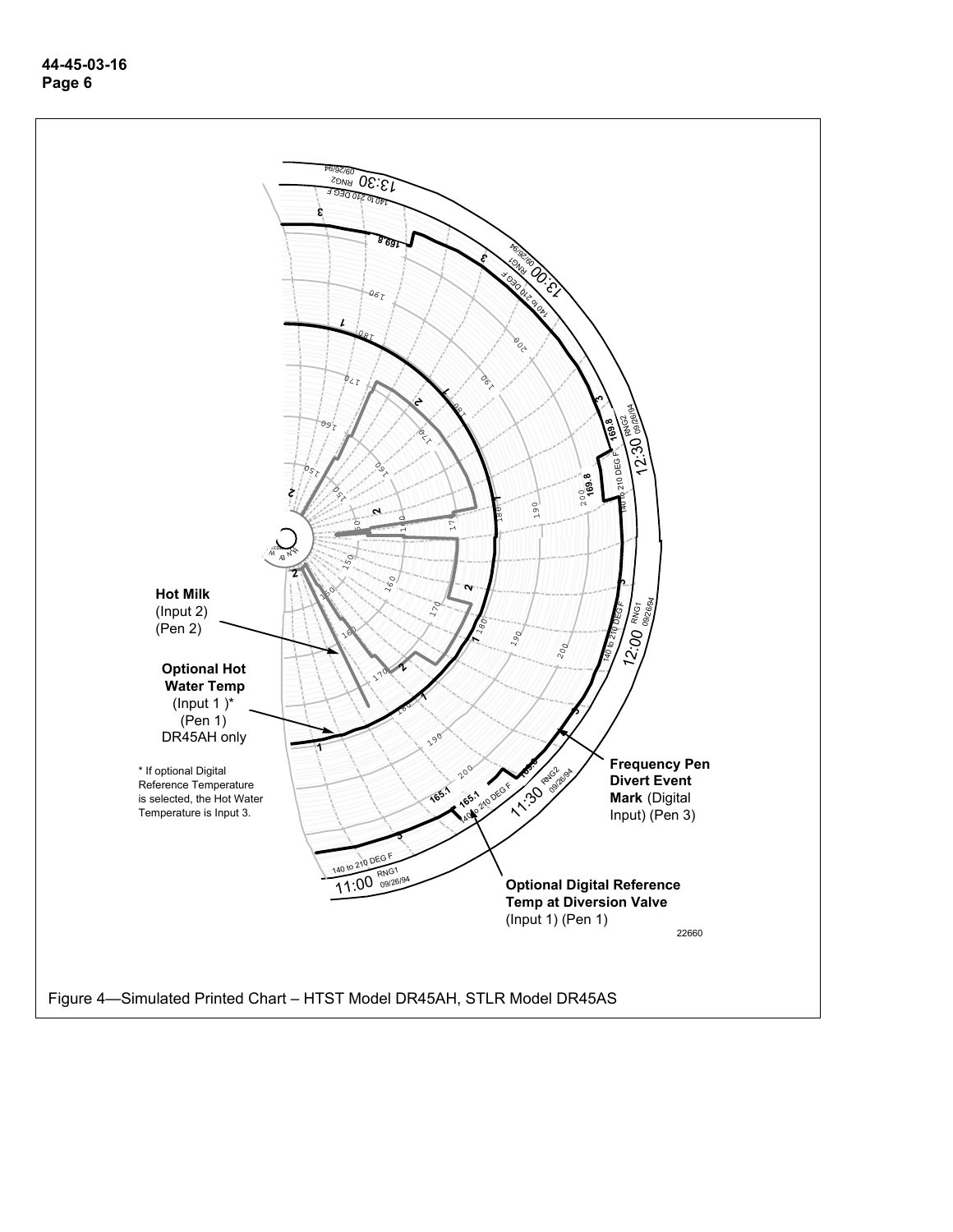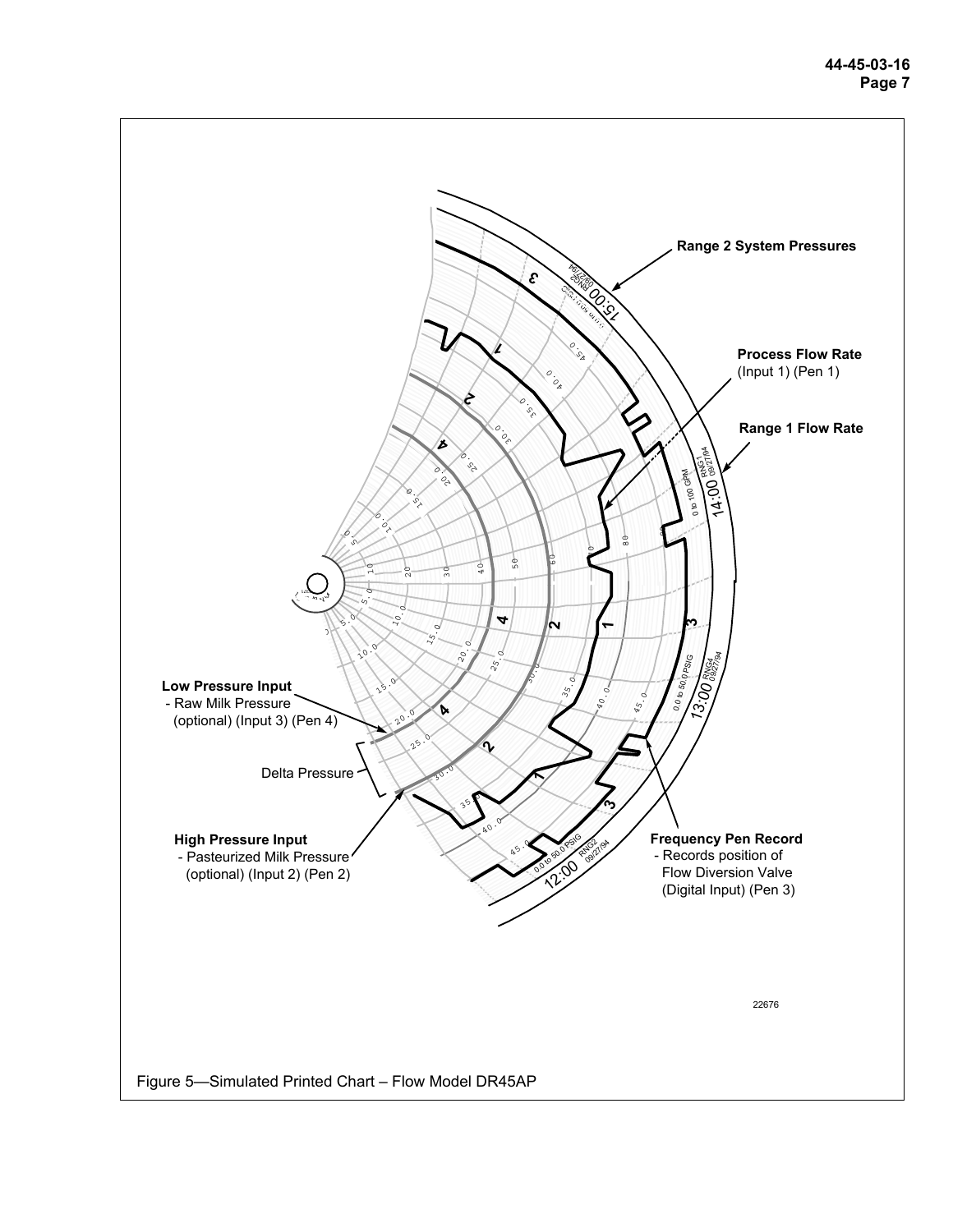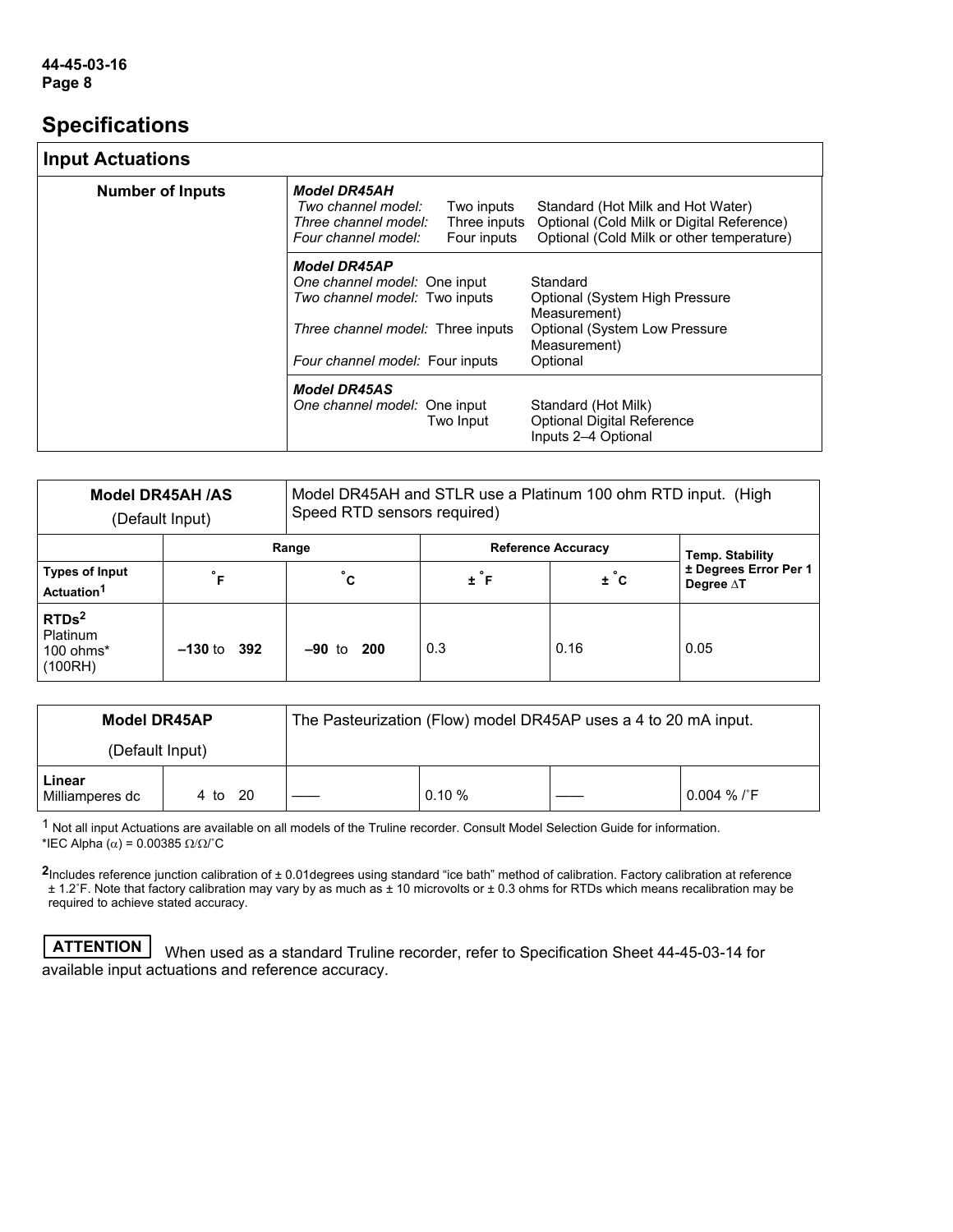# **Specifications**

# **Input Actuations**

| <b>IIIput Actuations</b> |                                                                                                                                                              |                                           |                                                                                                                             |  |
|--------------------------|--------------------------------------------------------------------------------------------------------------------------------------------------------------|-------------------------------------------|-----------------------------------------------------------------------------------------------------------------------------|--|
| <b>Number of Inputs</b>  | <b>Model DR45AH</b><br>Two channel model:<br>Three channel model:<br>Four channel model:                                                                     | Two inputs<br>Three inputs<br>Four inputs | Standard (Hot Milk and Hot Water)<br>Optional (Cold Milk or Digital Reference)<br>Optional (Cold Milk or other temperature) |  |
|                          | <b>Model DR45AP</b><br>One channel model: One input<br>Two channel model: Two inputs<br>Three channel model: Three inputs<br>Four channel model: Four inputs |                                           | Standard<br>Optional (System High Pressure<br>Measurement)<br>Optional (System Low Pressure<br>Measurement)<br>Optional     |  |
|                          | <b>Model DR45AS</b><br>One channel model: One input                                                                                                          | Two Input                                 | Standard (Hot Milk)<br><b>Optional Digital Reference</b><br>Inputs 2-4 Optional                                             |  |

|                                                              | Model DR45AH /AS<br>(Default Input) | Model DR45AH and STLR use a Platinum 100 ohm RTD input. (High<br>Speed RTD sensors required) |                   |                           |                                    |
|--------------------------------------------------------------|-------------------------------------|----------------------------------------------------------------------------------------------|-------------------|---------------------------|------------------------------------|
|                                                              |                                     | Range                                                                                        |                   | <b>Reference Accuracy</b> | <b>Temp. Stability</b>             |
| <b>Types of Input</b><br>Actuation <sup>1</sup>              | $\circ$<br>Е                        | $^{\circ}$ c                                                                                 | $\pm$ $\degree$ F | $\pm$ $^{\circ}$ c        | ± Degrees Error Per 1<br>Degree AT |
| RTDs <sup>2</sup><br><b>Platinum</b><br>100 ohms*<br>(100RH) | $-130$ to $392$                     | $-90$ to $200$                                                                               | 0.3               | 0.16                      | 0.05                               |

| <b>Model DR45AP</b>       |         | The Pasteurization (Flow) model DR45AP uses a 4 to 20 mA input. |           |  |                         |
|---------------------------|---------|-----------------------------------------------------------------|-----------|--|-------------------------|
| (Default Input)           |         |                                                                 |           |  |                         |
| Linear<br>Milliamperes dc | 4 to 20 |                                                                 | $0.10 \%$ |  | $0.004 \%$ / $\sqrt{F}$ |

1 Not all input Actuations are available on all models of the Truline recorder. Consult Model Selection Guide for information. \*IEC Alpha (α) = 0.00385 Ω/Ω/˚C

**2**Includes reference junction calibration of ± 0.01degrees using standard "ice bath" method of calibration. Factory calibration at reference ± 1.2˚F. Note that factory calibration may vary by as much as ± 10 microvolts or ± 0.3 ohms for RTDs which means recalibration may be required to achieve stated accuracy.

**ATTENTION** When used as a standard Truline recorder, refer to Specification Sheet 44-45-03-14 for available input actuations and reference accuracy.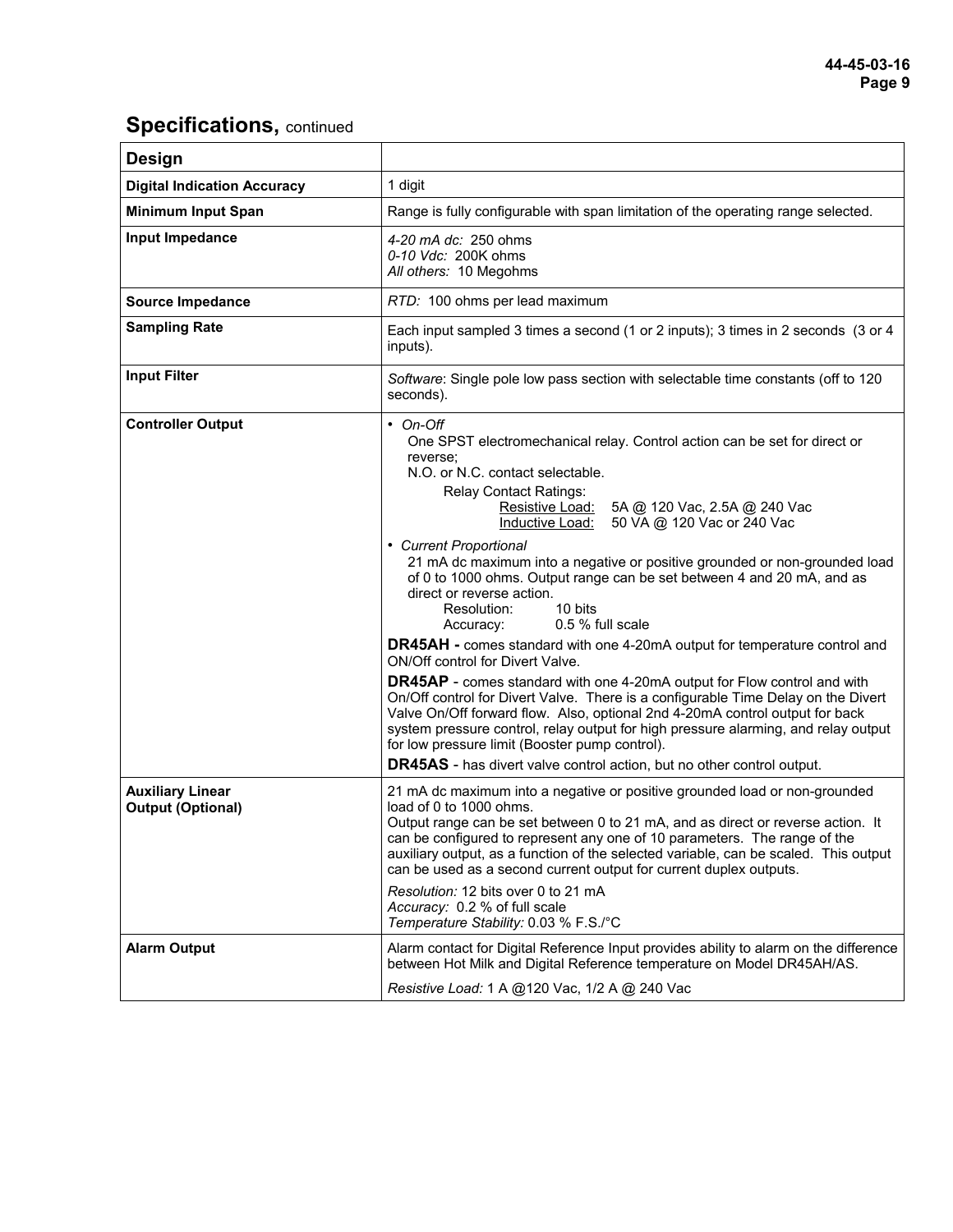# **Specifications, continued**

| <b>Design</b>                                       |                                                                                                                                                                                                                                                                                                                                                                                                                                                                                                                                                                                                                                                                                                                                                                                                                                                                                                                                                                                                                                                                                                                                                               |  |  |  |
|-----------------------------------------------------|---------------------------------------------------------------------------------------------------------------------------------------------------------------------------------------------------------------------------------------------------------------------------------------------------------------------------------------------------------------------------------------------------------------------------------------------------------------------------------------------------------------------------------------------------------------------------------------------------------------------------------------------------------------------------------------------------------------------------------------------------------------------------------------------------------------------------------------------------------------------------------------------------------------------------------------------------------------------------------------------------------------------------------------------------------------------------------------------------------------------------------------------------------------|--|--|--|
| <b>Digital Indication Accuracy</b>                  | 1 digit                                                                                                                                                                                                                                                                                                                                                                                                                                                                                                                                                                                                                                                                                                                                                                                                                                                                                                                                                                                                                                                                                                                                                       |  |  |  |
| <b>Minimum Input Span</b>                           | Range is fully configurable with span limitation of the operating range selected.                                                                                                                                                                                                                                                                                                                                                                                                                                                                                                                                                                                                                                                                                                                                                                                                                                                                                                                                                                                                                                                                             |  |  |  |
| Input Impedance                                     | 4-20 mA dc: 250 ohms<br>0-10 Vdc: 200K ohms<br>All others: 10 Megohms                                                                                                                                                                                                                                                                                                                                                                                                                                                                                                                                                                                                                                                                                                                                                                                                                                                                                                                                                                                                                                                                                         |  |  |  |
| <b>Source Impedance</b>                             | RTD: 100 ohms per lead maximum                                                                                                                                                                                                                                                                                                                                                                                                                                                                                                                                                                                                                                                                                                                                                                                                                                                                                                                                                                                                                                                                                                                                |  |  |  |
| <b>Sampling Rate</b>                                | Each input sampled 3 times a second (1 or 2 inputs); 3 times in 2 seconds (3 or 4<br>inputs).                                                                                                                                                                                                                                                                                                                                                                                                                                                                                                                                                                                                                                                                                                                                                                                                                                                                                                                                                                                                                                                                 |  |  |  |
| <b>Input Filter</b>                                 | Software: Single pole low pass section with selectable time constants (off to 120<br>seconds).                                                                                                                                                                                                                                                                                                                                                                                                                                                                                                                                                                                                                                                                                                                                                                                                                                                                                                                                                                                                                                                                |  |  |  |
| <b>Controller Output</b>                            | $\cdot$ On-Off<br>One SPST electromechanical relay. Control action can be set for direct or<br>reverse;<br>N.O. or N.C. contact selectable.<br><b>Relay Contact Ratings:</b><br>Resistive Load:<br>5A @ 120 Vac, 2.5A @ 240 Vac<br>50 VA @ 120 Vac or 240 Vac<br>Inductive Load:<br>• Current Proportional<br>21 mA dc maximum into a negative or positive grounded or non-grounded load<br>of 0 to 1000 ohms. Output range can be set between 4 and 20 mA, and as<br>direct or reverse action.<br>Resolution:<br>10 bits<br>0.5 % full scale<br>Accuracy:<br>DR45AH - comes standard with one 4-20mA output for temperature control and<br>ON/Off control for Divert Valve.<br><b>DR45AP</b> - comes standard with one 4-20mA output for Flow control and with<br>On/Off control for Divert Valve. There is a configurable Time Delay on the Divert<br>Valve On/Off forward flow. Also, optional 2nd 4-20mA control output for back<br>system pressure control, relay output for high pressure alarming, and relay output<br>for low pressure limit (Booster pump control).<br><b>DR45AS</b> - has divert valve control action, but no other control output. |  |  |  |
| <b>Auxiliary Linear</b><br><b>Output (Optional)</b> | 21 mA dc maximum into a negative or positive grounded load or non-grounded<br>load of 0 to 1000 ohms.<br>Output range can be set between 0 to 21 mA, and as direct or reverse action. It<br>can be configured to represent any one of 10 parameters. The range of the<br>auxiliary output, as a function of the selected variable, can be scaled. This output<br>can be used as a second current output for current duplex outputs.<br>Resolution: 12 bits over 0 to 21 mA<br>Accuracy: 0.2 % of full scale<br>Temperature Stability: 0.03 % F.S./°C                                                                                                                                                                                                                                                                                                                                                                                                                                                                                                                                                                                                          |  |  |  |
| <b>Alarm Output</b>                                 | Alarm contact for Digital Reference Input provides ability to alarm on the difference<br>between Hot Milk and Digital Reference temperature on Model DR45AH/AS.<br>Resistive Load: 1 A @120 Vac, 1/2 A @ 240 Vac                                                                                                                                                                                                                                                                                                                                                                                                                                                                                                                                                                                                                                                                                                                                                                                                                                                                                                                                              |  |  |  |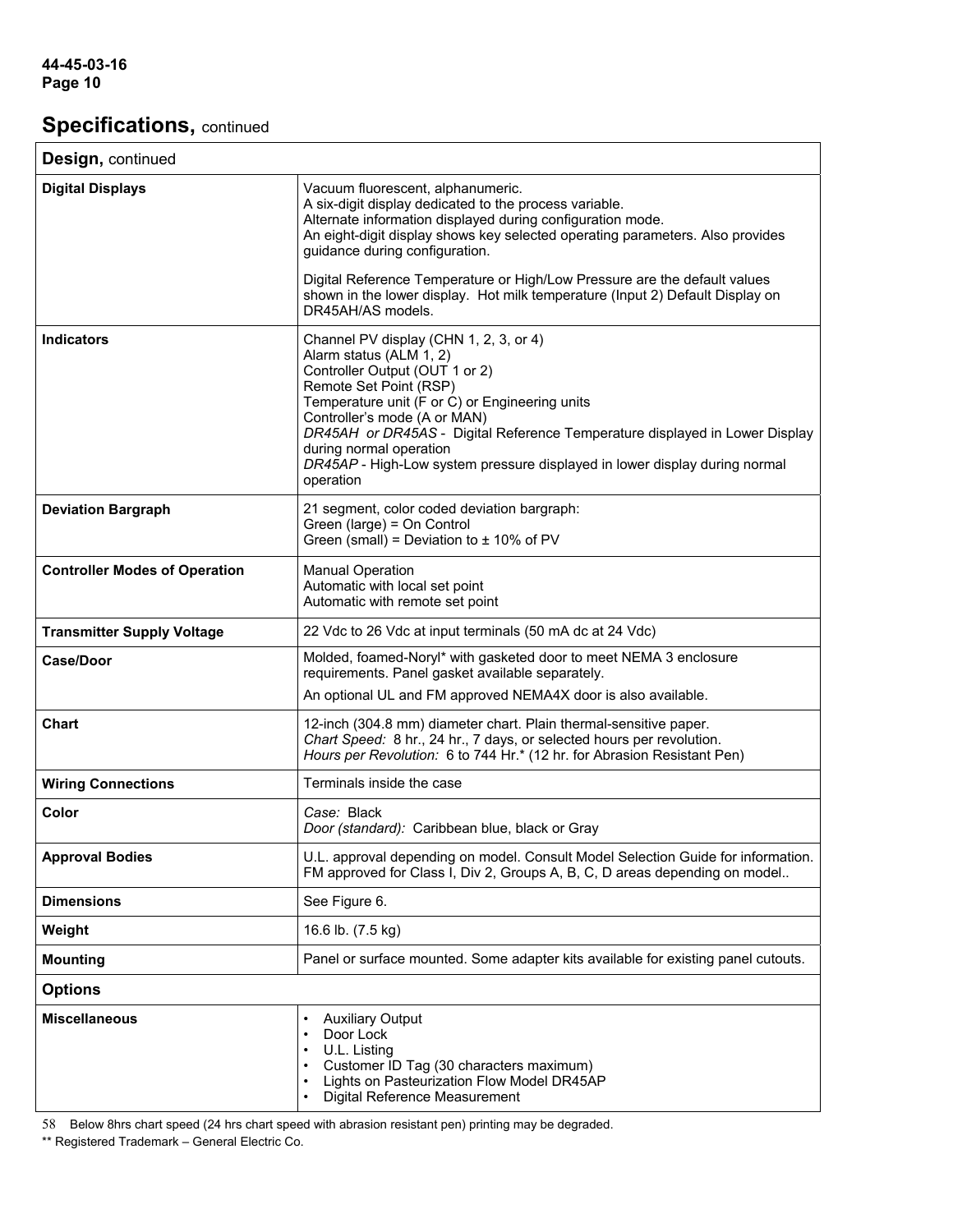# **Specifications, continued**

| Design, continued                    |                                                                                                                                                                                                                                                                                                                                                                                                                      |
|--------------------------------------|----------------------------------------------------------------------------------------------------------------------------------------------------------------------------------------------------------------------------------------------------------------------------------------------------------------------------------------------------------------------------------------------------------------------|
| <b>Digital Displays</b>              | Vacuum fluorescent, alphanumeric.<br>A six-digit display dedicated to the process variable.<br>Alternate information displayed during configuration mode.<br>An eight-digit display shows key selected operating parameters. Also provides<br>guidance during configuration.                                                                                                                                         |
|                                      | Digital Reference Temperature or High/Low Pressure are the default values<br>shown in the lower display. Hot milk temperature (Input 2) Default Display on<br>DR45AH/AS models.                                                                                                                                                                                                                                      |
| <b>Indicators</b>                    | Channel PV display (CHN 1, 2, 3, or 4)<br>Alarm status (ALM 1, 2)<br>Controller Output (OUT 1 or 2)<br>Remote Set Point (RSP)<br>Temperature unit (F or C) or Engineering units<br>Controller's mode (A or MAN)<br>DR45AH or DR45AS - Digital Reference Temperature displayed in Lower Display<br>during normal operation<br>DR45AP - High-Low system pressure displayed in lower display during normal<br>operation |
| <b>Deviation Bargraph</b>            | 21 segment, color coded deviation bargraph:<br>Green (large) = On Control<br>Green (small) = Deviation to $\pm$ 10% of PV                                                                                                                                                                                                                                                                                            |
| <b>Controller Modes of Operation</b> | <b>Manual Operation</b><br>Automatic with local set point<br>Automatic with remote set point                                                                                                                                                                                                                                                                                                                         |
| <b>Transmitter Supply Voltage</b>    | 22 Vdc to 26 Vdc at input terminals (50 mA dc at 24 Vdc)                                                                                                                                                                                                                                                                                                                                                             |
| <b>Case/Door</b>                     | Molded, foamed-Noryl* with gasketed door to meet NEMA 3 enclosure<br>requirements. Panel gasket available separately.                                                                                                                                                                                                                                                                                                |
|                                      | An optional UL and FM approved NEMA4X door is also available.                                                                                                                                                                                                                                                                                                                                                        |
| <b>Chart</b>                         | 12-inch (304.8 mm) diameter chart. Plain thermal-sensitive paper.<br>Chart Speed: 8 hr., 24 hr., 7 days, or selected hours per revolution.<br>Hours per Revolution: 6 to 744 Hr.* (12 hr. for Abrasion Resistant Pen)                                                                                                                                                                                                |
| <b>Wiring Connections</b>            | Terminals inside the case                                                                                                                                                                                                                                                                                                                                                                                            |
| Color                                | Case: Black<br>Door (standard): Caribbean blue, black or Gray                                                                                                                                                                                                                                                                                                                                                        |
| <b>Approval Bodies</b>               | U.L. approval depending on model. Consult Model Selection Guide for information.<br>FM approved for Class I, Div 2, Groups A, B, C, D areas depending on model                                                                                                                                                                                                                                                       |
| <b>Dimensions</b>                    | See Figure 6.                                                                                                                                                                                                                                                                                                                                                                                                        |
| Weight                               | 16.6 lb. (7.5 kg)                                                                                                                                                                                                                                                                                                                                                                                                    |
| <b>Mounting</b>                      | Panel or surface mounted. Some adapter kits available for existing panel cutouts.                                                                                                                                                                                                                                                                                                                                    |
| <b>Options</b>                       |                                                                                                                                                                                                                                                                                                                                                                                                                      |
| <b>Miscellaneous</b>                 | <b>Auxiliary Output</b><br>$\bullet$<br>Door Lock<br>U.L. Listing<br>$\bullet$<br>Customer ID Tag (30 characters maximum)<br>$\bullet$<br>Lights on Pasteurization Flow Model DR45AP<br>Digital Reference Measurement                                                                                                                                                                                                |

58 Below 8hrs chart speed (24 hrs chart speed with abrasion resistant pen) printing may be degraded.

\*\* Registered Trademark – General Electric Co.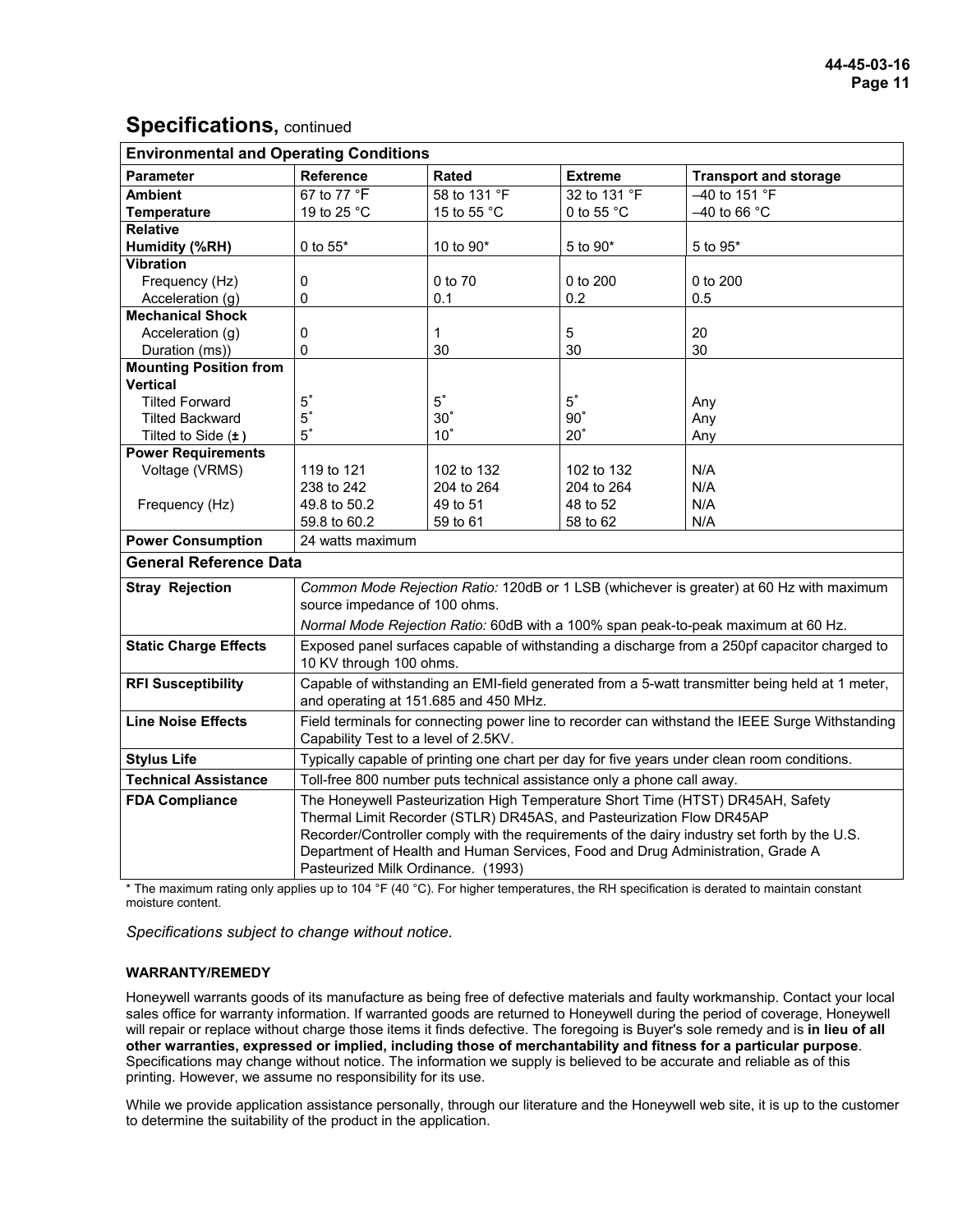## **Specifications, continued**

| <b>Environmental and Operating Conditions</b>                                                                                                                                                                                                                                                                                                                                       |                                                                                                 |              |                                                                        |                                                                                                 |  |  |
|-------------------------------------------------------------------------------------------------------------------------------------------------------------------------------------------------------------------------------------------------------------------------------------------------------------------------------------------------------------------------------------|-------------------------------------------------------------------------------------------------|--------------|------------------------------------------------------------------------|-------------------------------------------------------------------------------------------------|--|--|
| <b>Parameter</b>                                                                                                                                                                                                                                                                                                                                                                    | <b>Reference</b>                                                                                | <b>Rated</b> | Extreme                                                                | <b>Transport and storage</b>                                                                    |  |  |
| <b>Ambient</b>                                                                                                                                                                                                                                                                                                                                                                      | 67 to 77 °F                                                                                     | 58 to 131 °F | 32 to 131 °F                                                           | -40 to 151 °F                                                                                   |  |  |
| <b>Temperature</b>                                                                                                                                                                                                                                                                                                                                                                  | 19 to 25 °C                                                                                     | 15 to 55 °C  | 0 to 55 °C                                                             | $-40$ to 66 °C                                                                                  |  |  |
| <b>Relative</b>                                                                                                                                                                                                                                                                                                                                                                     |                                                                                                 |              |                                                                        |                                                                                                 |  |  |
| Humidity (%RH)                                                                                                                                                                                                                                                                                                                                                                      | 0 to 55*                                                                                        | 10 to 90*    | 5 to 90*                                                               | 5 to 95*                                                                                        |  |  |
| <b>Vibration</b>                                                                                                                                                                                                                                                                                                                                                                    |                                                                                                 |              |                                                                        |                                                                                                 |  |  |
| Frequency (Hz)                                                                                                                                                                                                                                                                                                                                                                      | 0                                                                                               | 0 to 70      | 0 to 200                                                               | 0 to 200                                                                                        |  |  |
| Acceleration (g)                                                                                                                                                                                                                                                                                                                                                                    | 0                                                                                               | 0.1          | 0.2                                                                    | 0.5                                                                                             |  |  |
| <b>Mechanical Shock</b>                                                                                                                                                                                                                                                                                                                                                             |                                                                                                 |              |                                                                        |                                                                                                 |  |  |
| Acceleration (g)                                                                                                                                                                                                                                                                                                                                                                    | $\Omega$                                                                                        | 1            | 5                                                                      | 20                                                                                              |  |  |
| Duration (ms))                                                                                                                                                                                                                                                                                                                                                                      | $\Omega$                                                                                        | 30           | 30                                                                     | 30                                                                                              |  |  |
| <b>Mounting Position from</b>                                                                                                                                                                                                                                                                                                                                                       |                                                                                                 |              |                                                                        |                                                                                                 |  |  |
| <b>Vertical</b>                                                                                                                                                                                                                                                                                                                                                                     |                                                                                                 |              |                                                                        |                                                                                                 |  |  |
| <b>Tilted Forward</b>                                                                                                                                                                                                                                                                                                                                                               | $5^\circ$                                                                                       | $5^\circ$    | $5^\circ$                                                              | Any                                                                                             |  |  |
| <b>Tilted Backward</b>                                                                                                                                                                                                                                                                                                                                                              | $5^\circ$                                                                                       | $30^\circ$   | $90^\circ$                                                             | Any                                                                                             |  |  |
| Tilted to Side $(\pm)$                                                                                                                                                                                                                                                                                                                                                              | $5^\circ$                                                                                       | $10^\circ$   | $20^\circ$                                                             | Any                                                                                             |  |  |
| <b>Power Requirements</b>                                                                                                                                                                                                                                                                                                                                                           |                                                                                                 |              |                                                                        |                                                                                                 |  |  |
| Voltage (VRMS)                                                                                                                                                                                                                                                                                                                                                                      | 119 to 121                                                                                      | 102 to 132   | 102 to 132                                                             | N/A                                                                                             |  |  |
|                                                                                                                                                                                                                                                                                                                                                                                     | 238 to 242                                                                                      | 204 to 264   | 204 to 264                                                             | N/A                                                                                             |  |  |
| Frequency (Hz)                                                                                                                                                                                                                                                                                                                                                                      | 49.8 to 50.2                                                                                    | 49 to 51     | 48 to 52                                                               | N/A                                                                                             |  |  |
|                                                                                                                                                                                                                                                                                                                                                                                     | 59.8 to 60.2                                                                                    | 59 to 61     | 58 to 62                                                               | N/A                                                                                             |  |  |
| <b>Power Consumption</b>                                                                                                                                                                                                                                                                                                                                                            | 24 watts maximum                                                                                |              |                                                                        |                                                                                                 |  |  |
| <b>General Reference Data</b>                                                                                                                                                                                                                                                                                                                                                       |                                                                                                 |              |                                                                        |                                                                                                 |  |  |
| <b>Stray Rejection</b>                                                                                                                                                                                                                                                                                                                                                              |                                                                                                 |              |                                                                        | Common Mode Rejection Ratio: 120dB or 1 LSB (whichever is greater) at 60 Hz with maximum        |  |  |
|                                                                                                                                                                                                                                                                                                                                                                                     | source impedance of 100 ohms.                                                                   |              |                                                                        |                                                                                                 |  |  |
|                                                                                                                                                                                                                                                                                                                                                                                     | Normal Mode Rejection Ratio: 60dB with a 100% span peak-to-peak maximum at 60 Hz.               |              |                                                                        |                                                                                                 |  |  |
| <b>Static Charge Effects</b>                                                                                                                                                                                                                                                                                                                                                        | Exposed panel surfaces capable of withstanding a discharge from a 250pf capacitor charged to    |              |                                                                        |                                                                                                 |  |  |
|                                                                                                                                                                                                                                                                                                                                                                                     | 10 KV through 100 ohms.                                                                         |              |                                                                        |                                                                                                 |  |  |
| <b>RFI Susceptibility</b>                                                                                                                                                                                                                                                                                                                                                           | Capable of withstanding an EMI-field generated from a 5-watt transmitter being held at 1 meter, |              |                                                                        |                                                                                                 |  |  |
|                                                                                                                                                                                                                                                                                                                                                                                     | and operating at 151.685 and 450 MHz.                                                           |              |                                                                        |                                                                                                 |  |  |
| <b>Line Noise Effects</b>                                                                                                                                                                                                                                                                                                                                                           |                                                                                                 |              |                                                                        | Field terminals for connecting power line to recorder can withstand the IEEE Surge Withstanding |  |  |
|                                                                                                                                                                                                                                                                                                                                                                                     | Capability Test to a level of 2.5KV.                                                            |              |                                                                        |                                                                                                 |  |  |
| <b>Stylus Life</b>                                                                                                                                                                                                                                                                                                                                                                  | Typically capable of printing one chart per day for five years under clean room conditions.     |              |                                                                        |                                                                                                 |  |  |
| <b>Technical Assistance</b>                                                                                                                                                                                                                                                                                                                                                         |                                                                                                 |              | Toll-free 800 number puts technical assistance only a phone call away. |                                                                                                 |  |  |
| <b>FDA Compliance</b>                                                                                                                                                                                                                                                                                                                                                               |                                                                                                 |              |                                                                        | The Honeywell Pasteurization High Temperature Short Time (HTST) DR45AH, Safety                  |  |  |
|                                                                                                                                                                                                                                                                                                                                                                                     |                                                                                                 |              | Thermal Limit Recorder (STLR) DR45AS, and Pasteurization Flow DR45AP   |                                                                                                 |  |  |
|                                                                                                                                                                                                                                                                                                                                                                                     | Recorder/Controller comply with the requirements of the dairy industry set forth by the U.S.    |              |                                                                        |                                                                                                 |  |  |
|                                                                                                                                                                                                                                                                                                                                                                                     | Department of Health and Human Services, Food and Drug Administration, Grade A                  |              |                                                                        |                                                                                                 |  |  |
|                                                                                                                                                                                                                                                                                                                                                                                     | Pasteurized Milk Ordinance. (1993)                                                              |              |                                                                        |                                                                                                 |  |  |
| $\mathbf{B}$ and $\mathbf{A}$ and $\mathbf{B}$ and $\mathbf{B}$ and $\mathbf{B}$ and $\mathbf{B}$ and $\mathbf{B}$ and $\mathbf{B}$<br>$+$ TH.<br>$\sim$ . The set $\sim$ The late state of the set of the set of the set of the set of the set of the set of the set of the set of the set of the set of the set of the set of the set of the set of the set of the set of the set |                                                                                                 |              |                                                                        |                                                                                                 |  |  |

The maximum rating only applies up to 104 °F (40 °C). For higher temperatures, the RH specification is derated to maintain constant moisture content.

*Specifications subject to change without notice.* 

#### **WARRANTY/REMEDY**

Honeywell warrants goods of its manufacture as being free of defective materials and faulty workmanship. Contact your local sales office for warranty information. If warranted goods are returned to Honeywell during the period of coverage, Honeywell will repair or replace without charge those items it finds defective. The foregoing is Buyer's sole remedy and is **in lieu of all other warranties, expressed or implied, including those of merchantability and fitness for a particular purpose**. Specifications may change without notice. The information we supply is believed to be accurate and reliable as of this printing. However, we assume no responsibility for its use.

While we provide application assistance personally, through our literature and the Honeywell web site, it is up to the customer to determine the suitability of the product in the application.